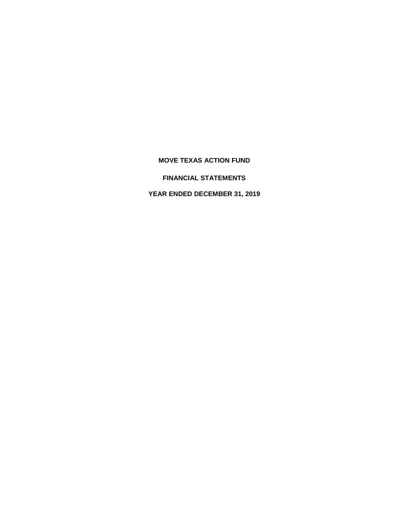**FINANCIAL STATEMENTS**

**YEAR ENDED DECEMBER 31, 2019**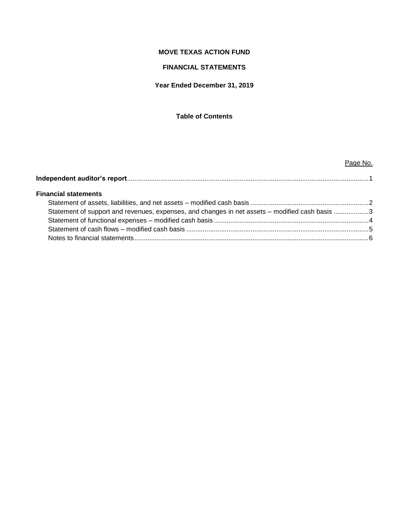# **FINANCIAL STATEMENTS**

## **Year Ended December 31, 2019**

## **Table of Contents**

# **Independent auditor's report**...................................................................................................................................1 **Financial statements** Statement of assets, liabilities, and net assets – modified cash basis ................................................................2 Statement of support and revenues, expenses, and changes in net assets – modified cash basis .................3 Statement of functional expenses – modified cash basis ....................................................................................4 Statement of cash flows – modified cash basis ...................................................................................................5 Notes to financial statements ...............................................................................................................................6

Page No.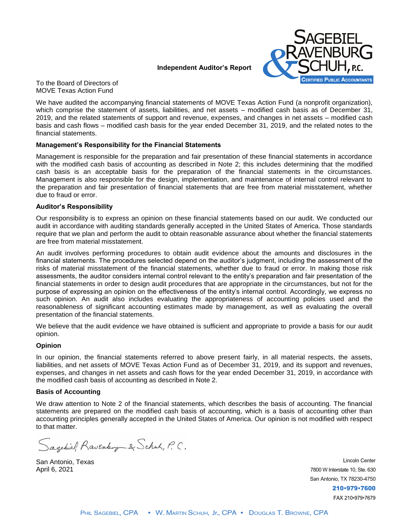#### **Independent Auditor's Report**



To the Board of Directors of MOVE Texas Action Fund

We have audited the accompanying financial statements of MOVE Texas Action Fund (a nonprofit organization), which comprise the statement of assets, liabilities, and net assets – modified cash basis as of December 31, 2019, and the related statements of support and revenue, expenses, and changes in net assets – modified cash basis and cash flows – modified cash basis for the year ended December 31, 2019, and the related notes to the financial statements.

#### **Management's Responsibility for the Financial Statements**

Management is responsible for the preparation and fair presentation of these financial statements in accordance with the modified cash basis of accounting as described in Note 2; this includes determining that the modified cash basis is an acceptable basis for the preparation of the financial statements in the circumstances. Management is also responsible for the design, implementation, and maintenance of internal control relevant to the preparation and fair presentation of financial statements that are free from material misstatement, whether due to fraud or error.

#### **Auditor's Responsibility**

Our responsibility is to express an opinion on these financial statements based on our audit. We conducted our audit in accordance with auditing standards generally accepted in the United States of America. Those standards require that we plan and perform the audit to obtain reasonable assurance about whether the financial statements are free from material misstatement.

An audit involves performing procedures to obtain audit evidence about the amounts and disclosures in the financial statements. The procedures selected depend on the auditor's judgment, including the assessment of the risks of material misstatement of the financial statements, whether due to fraud or error. In making those risk assessments, the auditor considers internal control relevant to the entity's preparation and fair presentation of the financial statements in order to design audit procedures that are appropriate in the circumstances, but not for the purpose of expressing an opinion on the effectiveness of the entity's internal control. Accordingly, we express no such opinion. An audit also includes evaluating the appropriateness of accounting policies used and the reasonableness of significant accounting estimates made by management, as well as evaluating the overall presentation of the financial statements.

We believe that the audit evidence we have obtained is sufficient and appropriate to provide a basis for our audit opinion.

#### **Opinion**

In our opinion, the financial statements referred to above present fairly, in all material respects, the assets, liabilities, and net assets of MOVE Texas Action Fund as of December 31, 2019, and its support and revenues, expenses, and changes in net assets and cash flows for the year ended December 31, 2019, in accordance with the modified cash basis of accounting as described in Note 2.

#### **Basis of Accounting**

We draw attention to Note 2 of the financial statements, which describes the basis of accounting. The financial statements are prepared on the modified cash basis of accounting, which is a basis of accounting other than accounting principles generally accepted in the United States of America. Our opinion is not modified with respect to that matter.

Sagebiel, Ravenburg & Schock, P.C.

San Antonio, Texas April 6, 2021

**Lincoln Center** 7800 W Interstate 10, Ste. 630 San Antonio, TX 78230-4750 210-979-7600 FAX 210-979-7679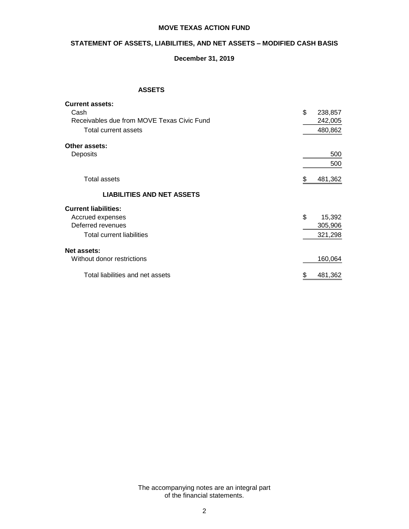# **STATEMENT OF ASSETS, LIABILITIES, AND NET ASSETS – MODIFIED CASH BASIS**

## **December 31, 2019**

### **ASSETS**

| <b>Current assets:</b>                     |               |
|--------------------------------------------|---------------|
| Cash                                       | \$<br>238,857 |
| Receivables due from MOVE Texas Civic Fund | 242,005       |
| Total current assets                       | 480,862       |
| Other assets:                              |               |
| Deposits                                   | 500           |
|                                            | 500           |
| <b>Total assets</b>                        | 481,362<br>\$ |
| <b>LIABILITIES AND NET ASSETS</b>          |               |
| <b>Current liabilities:</b>                |               |
| Accrued expenses                           | \$<br>15,392  |
| Deferred revenues                          | 305,906       |
| <b>Total current liabilities</b>           | 321,298       |
| Net assets:                                |               |
| Without donor restrictions                 | 160,064       |
| Total liabilities and net assets           | 481,362<br>\$ |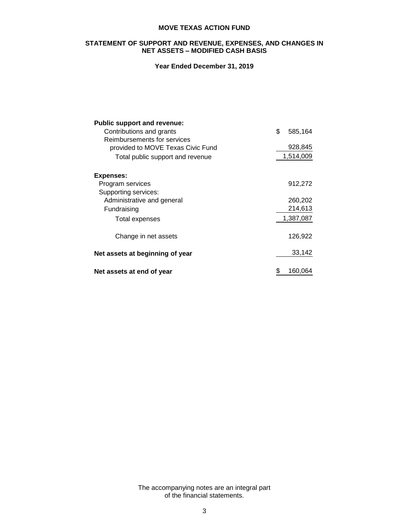#### **STATEMENT OF SUPPORT AND REVENUE, EXPENSES, AND CHANGES IN NET ASSETS – MODIFIED CASH BASIS**

# **Year Ended December 31, 2019**

| <b>Public support and revenue:</b> |               |
|------------------------------------|---------------|
| Contributions and grants           | \$<br>585,164 |
| Reimbursements for services        |               |
| provided to MOVE Texas Civic Fund  | 928,845       |
| Total public support and revenue   | 1,514,009     |
| <b>Expenses:</b>                   |               |
| Program services                   | 912,272       |
| Supporting services:               |               |
| Administrative and general         | 260,202       |
| Fundraising                        | 214,613       |
| Total expenses                     | 1,387,087     |
| Change in net assets               | 126,922       |
| Net assets at beginning of year    | 33,142        |
| Net assets at end of year          | \$<br>160.064 |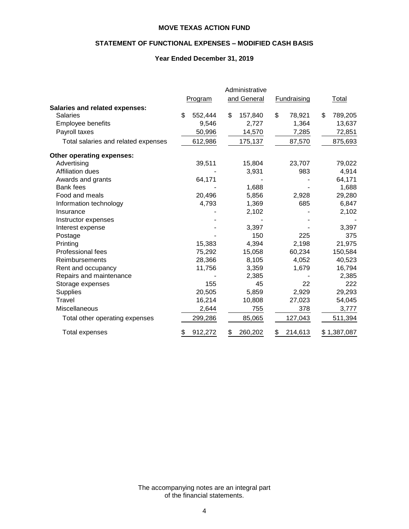# **STATEMENT OF FUNCTIONAL EXPENSES – MODIFIED CASH BASIS**

# **Year Ended December 31, 2019**

|                                       | Administrative |               |                    |               |
|---------------------------------------|----------------|---------------|--------------------|---------------|
|                                       | Program        | and General   | <b>Fundraising</b> | Total         |
| <b>Salaries and related expenses:</b> |                |               |                    |               |
| <b>Salaries</b>                       | \$<br>552,444  | \$<br>157,840 | \$<br>78,921       | \$<br>789,205 |
| <b>Employee benefits</b>              | 9,546          | 2,727         | 1,364              | 13,637        |
| Payroll taxes                         | 50,996         | 14,570        | 7,285              | 72,851        |
| Total salaries and related expenses   | 612,986        | 175,137       | 87,570             | 875,693       |
| Other operating expenses:             |                |               |                    |               |
| Advertising                           | 39,511         | 15,804        | 23,707             | 79,022        |
| <b>Affiliation dues</b>               |                | 3,931         | 983                | 4,914         |
| Awards and grants                     | 64,171         |               |                    | 64,171        |
| <b>Bank fees</b>                      |                | 1,688         |                    | 1,688         |
| Food and meals                        | 20,496         | 5,856         | 2,928              | 29,280        |
| Information technology                | 4,793          | 1,369         | 685                | 6,847         |
| Insurance                             |                | 2,102         |                    | 2,102         |
| Instructor expenses                   |                |               |                    |               |
| Interest expense                      |                | 3,397         |                    | 3,397         |
| Postage                               |                | 150           | 225                | 375           |
| Printing                              | 15,383         | 4,394         | 2,198              | 21,975        |
| <b>Professional fees</b>              | 75,292         | 15,058        | 60,234             | 150,584       |
| Reimbursements                        | 28,366         | 8,105         | 4,052              | 40,523        |
| Rent and occupancy                    | 11,756         | 3,359         | 1,679              | 16,794        |
| Repairs and maintenance               |                | 2,385         |                    | 2,385         |
| Storage expenses                      | 155            | 45            | 22                 | 222           |
| <b>Supplies</b>                       | 20,505         | 5,859         | 2,929              | 29,293        |
| Travel                                | 16,214         | 10,808        | 27,023             | 54,045        |
| Miscellaneous                         | 2,644          | 755           | 378                | 3,777         |
| Total other operating expenses        | 299,286        | 85,065        | 127,043            | 511,394       |
| Total expenses                        | 912,272<br>\$  | 260,202<br>\$ | 214,613<br>\$      | \$1,387,087   |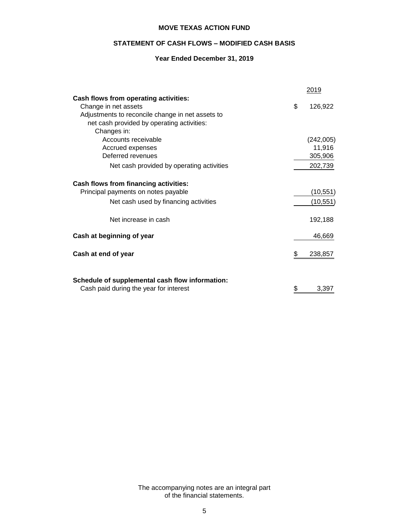# **STATEMENT OF CASH FLOWS – MODIFIED CASH BASIS**

# **Year Ended December 31, 2019**

|                                                  |    | 2019      |
|--------------------------------------------------|----|-----------|
| Cash flows from operating activities:            |    |           |
| Change in net assets                             | \$ | 126,922   |
| Adjustments to reconcile change in net assets to |    |           |
| net cash provided by operating activities:       |    |           |
| Changes in:                                      |    |           |
| Accounts receivable                              |    | (242,005) |
| Accrued expenses                                 |    | 11,916    |
| Deferred revenues                                |    | 305,906   |
| Net cash provided by operating activities        |    | 202,739   |
| <b>Cash flows from financing activities:</b>     |    |           |
| Principal payments on notes payable              |    | (10, 551) |
| Net cash used by financing activities            |    | (10, 551) |
| Net increase in cash                             |    | 192,188   |
| Cash at beginning of year                        |    | 46,669    |
| Cash at end of year                              | S  | 238,857   |
| Schedule of supplemental cash flow information:  |    |           |
| Cash paid during the year for interest           | \$ | 3,397     |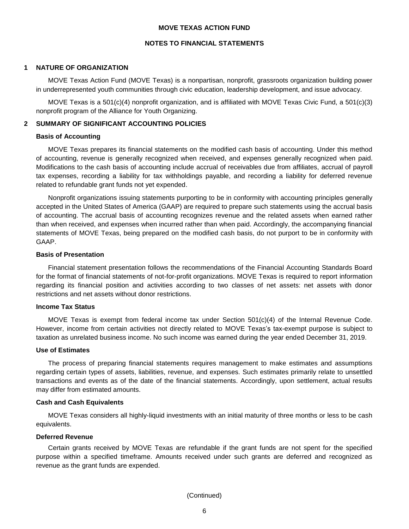#### **NOTES TO FINANCIAL STATEMENTS**

#### **1 NATURE OF ORGANIZATION**

MOVE Texas Action Fund (MOVE Texas) is a nonpartisan, nonprofit, grassroots organization building power in underrepresented youth communities through civic education, leadership development, and issue advocacy.

MOVE Texas is a 501(c)(4) nonprofit organization, and is affiliated with MOVE Texas Civic Fund, a 501(c)(3) nonprofit program of the Alliance for Youth Organizing.

#### **2 SUMMARY OF SIGNIFICANT ACCOUNTING POLICIES**

#### **Basis of Accounting**

MOVE Texas prepares its financial statements on the modified cash basis of accounting. Under this method of accounting, revenue is generally recognized when received, and expenses generally recognized when paid. Modifications to the cash basis of accounting include accrual of receivables due from affiliates, accrual of payroll tax expenses, recording a liability for tax withholdings payable, and recording a liability for deferred revenue related to refundable grant funds not yet expended.

Nonprofit organizations issuing statements purporting to be in conformity with accounting principles generally accepted in the United States of America (GAAP) are required to prepare such statements using the accrual basis of accounting. The accrual basis of accounting recognizes revenue and the related assets when earned rather than when received, and expenses when incurred rather than when paid. Accordingly, the accompanying financial statements of MOVE Texas, being prepared on the modified cash basis, do not purport to be in conformity with GAAP.

#### **Basis of Presentation**

Financial statement presentation follows the recommendations of the Financial Accounting Standards Board for the format of financial statements of not-for-profit organizations. MOVE Texas is required to report information regarding its financial position and activities according to two classes of net assets: net assets with donor restrictions and net assets without donor restrictions.

#### **Income Tax Status**

MOVE Texas is exempt from federal income tax under Section 501(c)(4) of the Internal Revenue Code. However, income from certain activities not directly related to MOVE Texas's tax-exempt purpose is subject to taxation as unrelated business income. No such income was earned during the year ended December 31, 2019.

#### **Use of Estimates**

The process of preparing financial statements requires management to make estimates and assumptions regarding certain types of assets, liabilities, revenue, and expenses. Such estimates primarily relate to unsettled transactions and events as of the date of the financial statements. Accordingly, upon settlement, actual results may differ from estimated amounts.

#### **Cash and Cash Equivalents**

MOVE Texas considers all highly-liquid investments with an initial maturity of three months or less to be cash equivalents.

#### **Deferred Revenue**

Certain grants received by MOVE Texas are refundable if the grant funds are not spent for the specified purpose within a specified timeframe. Amounts received under such grants are deferred and recognized as revenue as the grant funds are expended.

(Continued)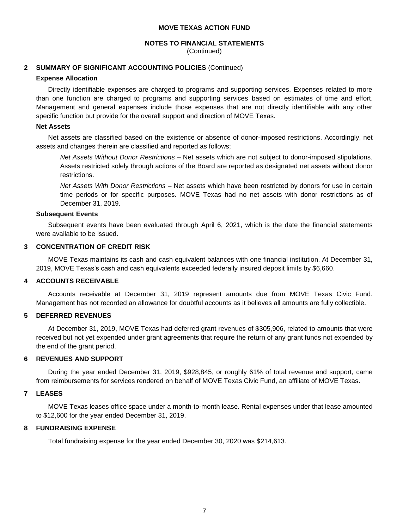# **NOTES TO FINANCIAL STATEMENTS**

(Continued)

## **2 SUMMARY OF SIGNIFICANT ACCOUNTING POLICIES** (Continued)

## **Expense Allocation**

Directly identifiable expenses are charged to programs and supporting services. Expenses related to more than one function are charged to programs and supporting services based on estimates of time and effort. Management and general expenses include those expenses that are not directly identifiable with any other specific function but provide for the overall support and direction of MOVE Texas.

## **Net Assets**

Net assets are classified based on the existence or absence of donor-imposed restrictions. Accordingly, net assets and changes therein are classified and reported as follows;

*Net Assets Without Donor Restrictions* – Net assets which are not subject to donor-imposed stipulations. Assets restricted solely through actions of the Board are reported as designated net assets without donor restrictions.

*Net Assets With Donor Restrictions* – Net assets which have been restricted by donors for use in certain time periods or for specific purposes. MOVE Texas had no net assets with donor restrictions as of December 31, 2019.

## **Subsequent Events**

Subsequent events have been evaluated through April 6, 2021, which is the date the financial statements were available to be issued.

# **3 CONCENTRATION OF CREDIT RISK**

MOVE Texas maintains its cash and cash equivalent balances with one financial institution. At December 31, 2019, MOVE Texas's cash and cash equivalents exceeded federally insured deposit limits by \$6,660.

# **4 ACCOUNTS RECEIVABLE**

Accounts receivable at December 31, 2019 represent amounts due from MOVE Texas Civic Fund. Management has not recorded an allowance for doubtful accounts as it believes all amounts are fully collectible.

# **5 DEFERRED REVENUES**

At December 31, 2019, MOVE Texas had deferred grant revenues of \$305,906, related to amounts that were received but not yet expended under grant agreements that require the return of any grant funds not expended by the end of the grant period.

### **6 REVENUES AND SUPPORT**

During the year ended December 31, 2019, \$928,845, or roughly 61% of total revenue and support, came from reimbursements for services rendered on behalf of MOVE Texas Civic Fund, an affiliate of MOVE Texas.

# **7 LEASES**

MOVE Texas leases office space under a month-to-month lease. Rental expenses under that lease amounted to \$12,600 for the year ended December 31, 2019.

# **8 FUNDRAISING EXPENSE**

Total fundraising expense for the year ended December 30, 2020 was \$214,613.